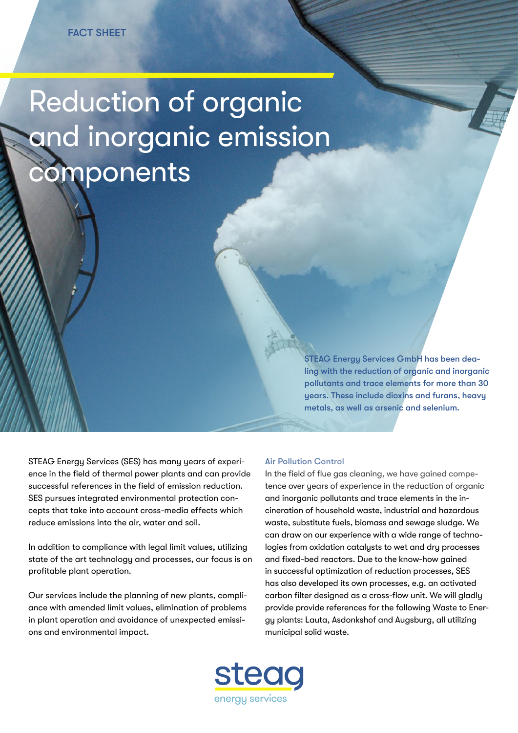## Reduction of organic and inorganic emission **components**

STEAG Energy Services GmbH has been dealing with the reduction of organic and inorganic pollutants and trace elements for more than 30 years. These include dioxins and furans, heavy metals, as well as arsenic and selenium.

STEAG Energy Services (SES) has many years of experience in the field of thermal power plants and can provide successful references in the field of emission reduction. SES pursues integrated environmental protection concepts that take into account cross-media effects which reduce emissions into the air, water and soil.

In addition to compliance with legal limit values, utilizing state of the art technology and processes, our focus is on profitable plant operation.

Our services include the planning of new plants, compliance with amended limit values, elimination of problems in plant operation and avoidance of unexpected emissions and environmental impact.

## Air Pollution Control

In the field of flue gas cleaning, we have gained competence over years of experience in the reduction of organic and inorganic pollutants and trace elements in the incineration of household waste, industrial and hazardous waste, substitute fuels, biomass and sewage sludge. We can draw on our experience with a wide range of technologies from oxidation catalysts to wet and dry processes and fixed-bed reactors. Due to the know-how gained in successful optimization of reduction processes, SES has also developed its own processes, e.g. an activated carbon filter designed as a cross-flow unit. We will gladly provide provide references for the following Waste to Energy plants: Lauta, Asdonkshof and Augsburg, all utilizing municipal solid waste.